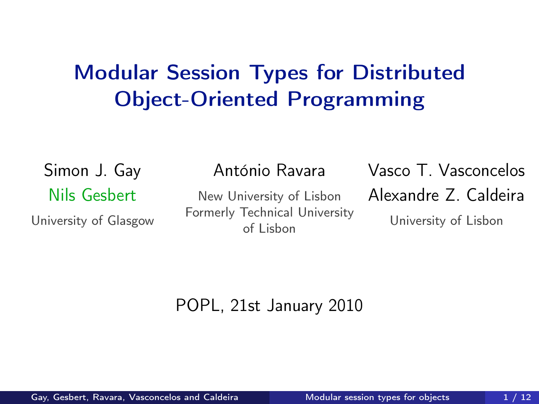#### Modular Session Types for Distributed Object-Oriented Programming

Simon J. Gay Nils Gesbert

University of Glasgow

#### António Ravara

New University of Lisbon Formerly Technical University of Lisbon

Vasco T. Vasconcelos Alexandre Z. Caldeira

<span id="page-0-0"></span>University of Lisbon

#### POPL, 21st January 2010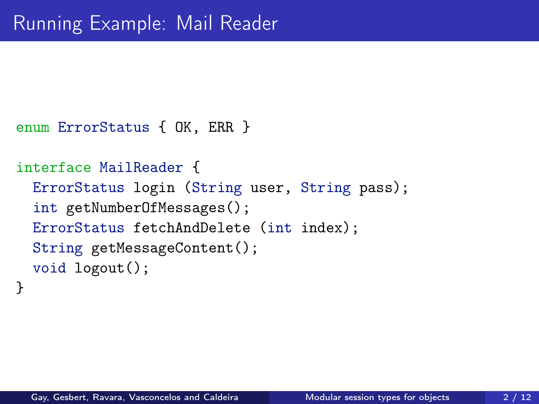```
enum ErrorStatus { OK, ERR }
```

```
interface MailReader {
  ErrorStatus login (String user, String pass);
  int getNumberOfMessages();
  ErrorStatus fetchAndDelete (int index);
  String getMessageContent();
  void logout();
```

```
}
```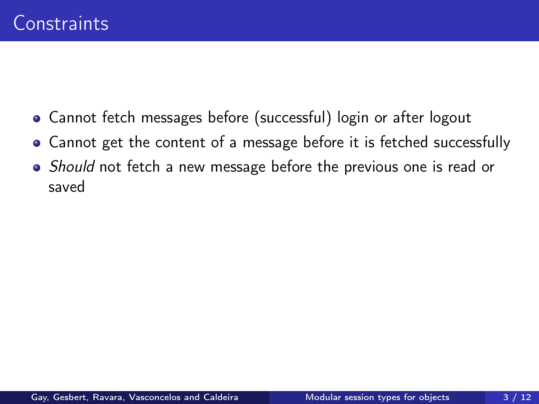- Cannot fetch messages before (successful) login or after logout
- Cannot get the content of a message before it is fetched successfully
- Should not fetch a new message before the previous one is read or saved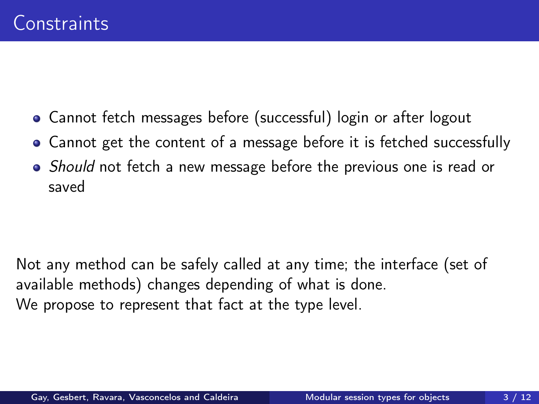- Cannot fetch messages before (successful) login or after logout
- Cannot get the content of a message before it is fetched successfully
- Should not fetch a new message before the previous one is read or saved

Not any method can be safely called at any time; the interface (set of available methods) changes depending of what is done. We propose to represent that fact at the type level.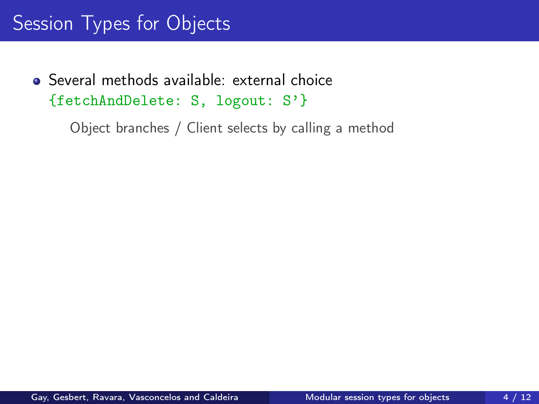### Session Types for Objects

Several methods available: external choice {fetchAndDelete: S, logout: S'}

Object branches / Client selects by calling a method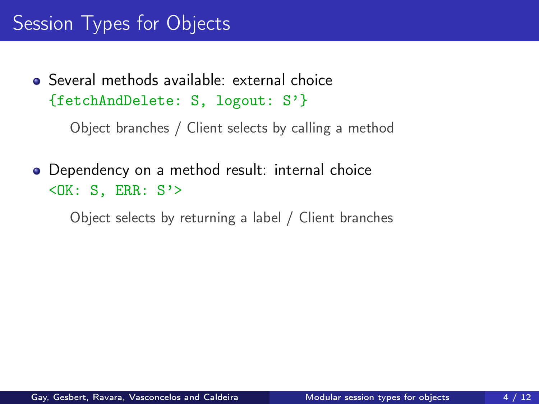#### Session Types for Objects

Several methods available: external choice {fetchAndDelete: S, logout: S'}

Object branches / Client selects by calling a method

• Dependency on a method result: internal choice  $<$ OK: S, ERR: S'>

Object selects by returning a label / Client branches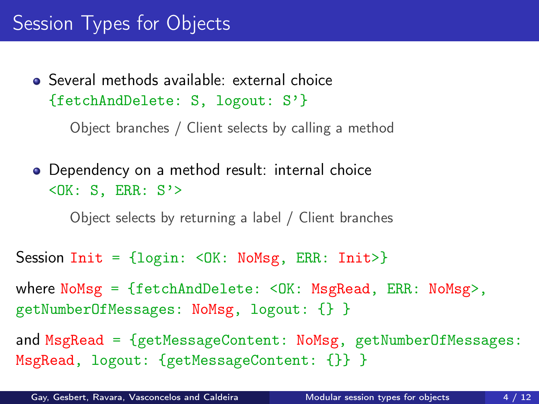#### Session Types for Objects

Several methods available: external choice {fetchAndDelete: S, logout: S'}

Object branches / Client selects by calling a method

Dependency on a method result: internal choice  $<$ OK: S, ERR: S'>

Object selects by returning a label / Client branches

Session Init =  $\{login: \triangleleft \in K: \text{NoMsg}, \text{ERR}: \text{Init}\rangle\}$ 

where NoMsg = {fetchAndDelete: <OK: MsgRead, ERR: NoMsg>, getNumberOfMessages: NoMsg, logout: {} }

and MsgRead = {getMessageContent: NoMsg, getNumberOfMessages: MsgRead, logout: {getMessageContent: {}} }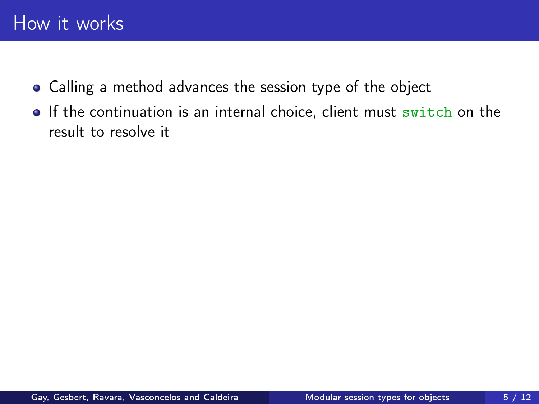- Calling a method advances the session type of the object
- **If the continuation is an internal choice, client must switch on the** result to resolve it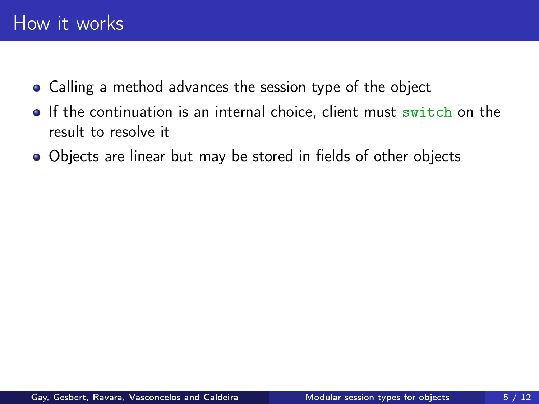- Calling a method advances the session type of the object
- **If the continuation is an internal choice, client must switch on the** result to resolve it
- Objects are linear but may be stored in fields of other objects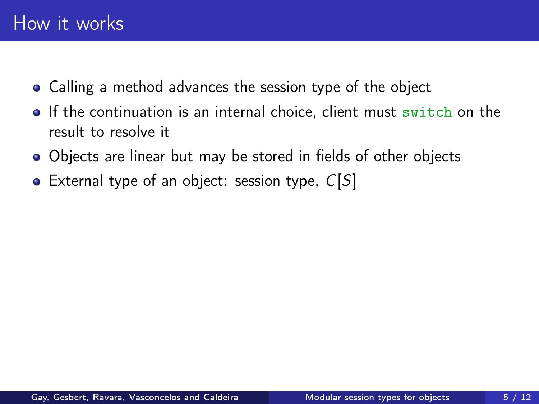- Calling a method advances the session type of the object
- If the continuation is an internal choice, client must switch on the result to resolve it
- Objects are linear but may be stored in fields of other objects
- External type of an object: session type,  $C[S]$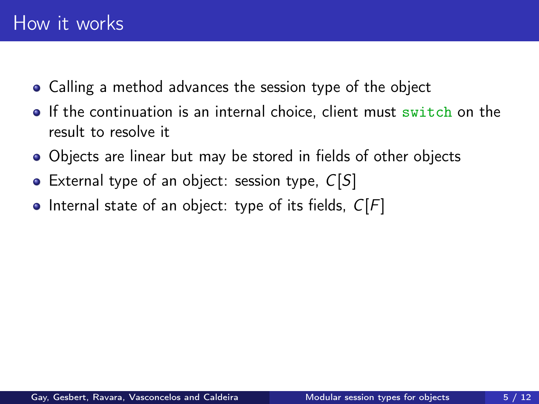- Calling a method advances the session type of the object
- If the continuation is an internal choice, client must switch on the result to resolve it
- Objects are linear but may be stored in fields of other objects
- External type of an object: session type,  $C[S]$
- Internal state of an object: type of its fields,  $C[F]$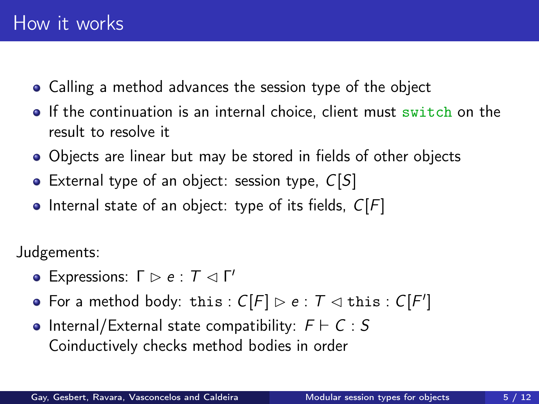- Calling a method advances the session type of the object
- $\bullet$  If the continuation is an internal choice, client must switch on the result to resolve it
- Objects are linear but may be stored in fields of other objects
- External type of an object: session type,  $C[S]$
- $\bullet$  Internal state of an object: type of its fields,  $C[F]$

Judgements:

- Expressions:  $\Gamma \rhd e : \mathcal{T} \lhd \Gamma'$
- For a method body: this :  $C[F] \rhd e : T \rhd this : C[F']$
- $\bullet$  Internal/External state compatibility:  $F \vdash C : S$ Coinductively checks method bodies in order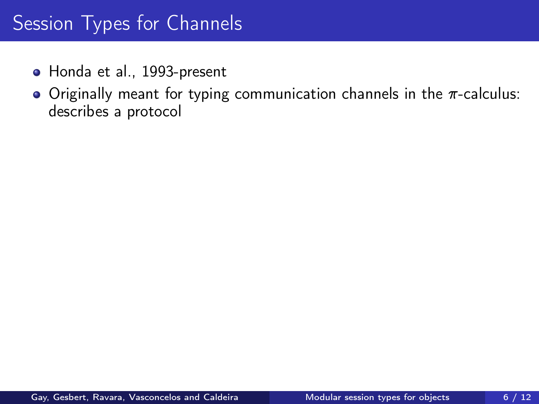- Honda et al., 1993-present
- Originally meant for typing communication channels in the  $\pi$ -calculus: describes a protocol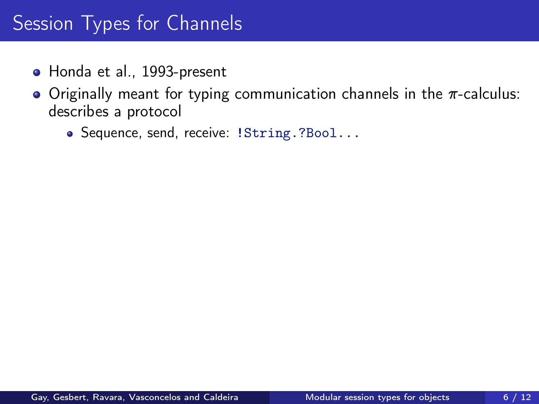- Honda et al., 1993-present
- Originally meant for typing communication channels in the  $\pi$ -calculus: describes a protocol
	- Sequence, send, receive: !String.?Bool...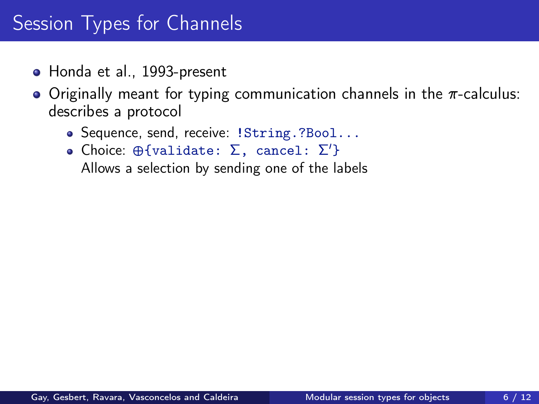- Honda et al., 1993-present
- Originally meant for typing communication channels in the  $\pi$ -calculus: describes a protocol
	- Sequence, send, receive: !String.?Bool...
	- Choice:  $\oplus$ {validate: Σ, cancel: Σ'} Allows a selection by sending one of the labels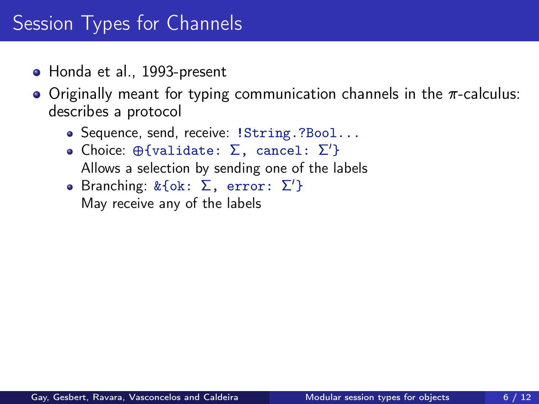- Honda et al., 1993-present
- Originally meant for typing communication channels in the  $\pi$ -calculus: describes a protocol
	- Sequence, send, receive: !String.?Bool...
	- Choice:  $\oplus$ {validate: Σ, cancel: Σ'} Allows a selection by sending one of the labels
	- Branching: & {ok: Σ, error: Σ'} May receive any of the labels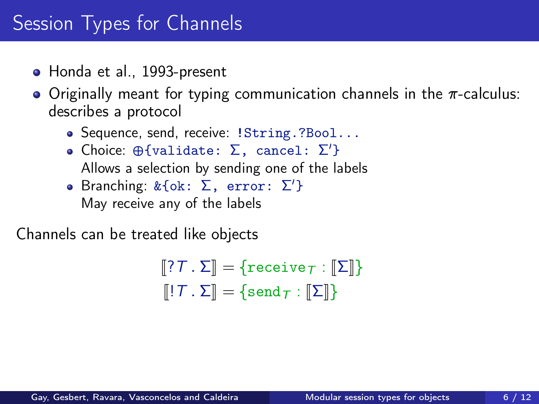- Honda et al., 1993-present
- $\bullet$  Originally meant for typing communication channels in the  $\pi$ -calculus: describes a protocol
	- Sequence, send, receive: !String.?Bool...
	- Choice:  $\oplus$ {validate: Σ, cancel: Σ'} Allows a selection by sending one of the labels
	- Branching: & {ok: Σ, error: Σ'} May receive any of the labels

Channels can be treated like objects

 $\llbracket ?T \cdot \Sigma \rrbracket = \{ \text{receive}_T : \llbracket \Sigma \rrbracket \}$  $\llbracket \cdot \rbrack T$  .  $\Sigma \rrbracket = \{\text{send}_T : \llbracket \Sigma \rrbracket \}$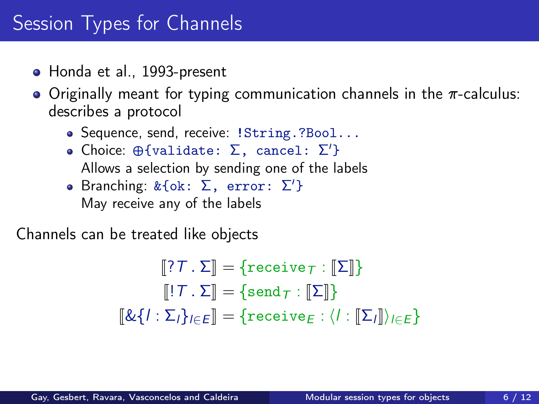- Honda et al., 1993-present
- Originally meant for typing communication channels in the  $\pi$ -calculus: describes a protocol
	- Sequence, send, receive: !String.?Bool...
	- Choice:  $\oplus$ {validate: Σ, cancel: Σ'} Allows a selection by sending one of the labels
	- Branching: & {ok: Σ, error: Σ'} May receive any of the labels

Channels can be treated like objects

$$
\begin{aligned}\n[\![?T \cdot \Sigma]\!] &= \{\text{receive}_T : [\![\Sigma]\!]\} \\
[\![!T \cdot \Sigma]\!] &= \{\text{send}_T : [\![\Sigma]\!]\} \\
[\![\&\{I : \Sigma_I\}_{I \in E}\!] &= \{\text{receive}_E : \langle I : [\![\Sigma_I]\!]\rangle_{I \in E}\}\n\end{aligned}
$$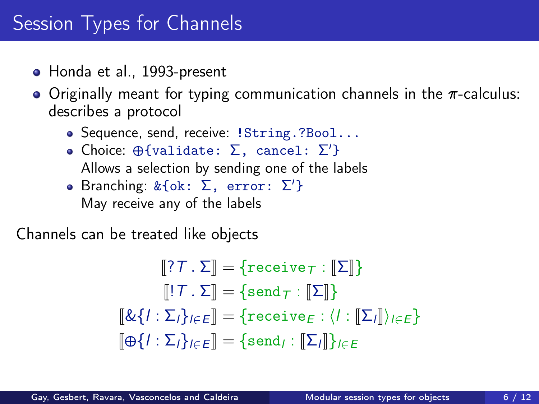- Honda et al., 1993-present
- Originally meant for typing communication channels in the  $\pi$ -calculus: describes a protocol
	- Sequence, send, receive: !String.?Bool...
	- Choice:  $\oplus$ {validate: Σ, cancel: Σ'} Allows a selection by sending one of the labels
	- Branching: & {ok: Σ, error: Σ'} May receive any of the labels

Channels can be treated like objects

$$
\begin{aligned}\n[\![?T \cdot \Sigma]\!] &= \{\texttt{receive}_T : [\![\Sigma]\!]\} \\
[\![!T \cdot \Sigma]\!] &= \{\texttt{send}_T : [\![\Sigma]\!]\} \\
[\![\&\{I : \Sigma_I\}_{I \in E}\!] &= \{\texttt{receive}_E : \langle I : [\![\Sigma_I]\!]\rangle_{I \in E}\} \\
[\![\oplus\{I : \Sigma_I\}_{I \in E}\!] &= \{\texttt{send}_I : [\![\Sigma_I]\!]\}_{I \in E}\n\end{aligned}
$$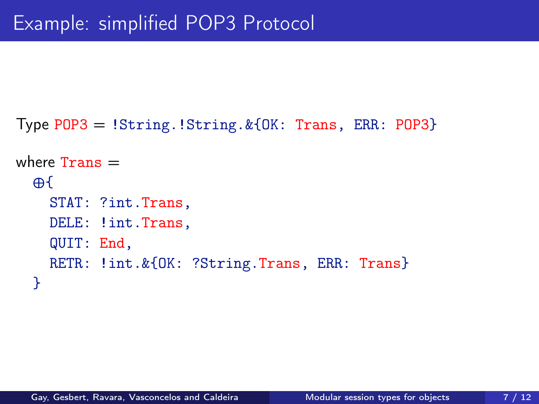```
Type POP3 = !String.!String.&{OK: Trans, ERR: POP3}
where Trans =\oplusSTAT: ?int.Trans,
    DELE: ! int. Trans,
    QUIT: End,
    RETR: !int. & {OK: ? String. Trans, ERR: Trans}
  }
```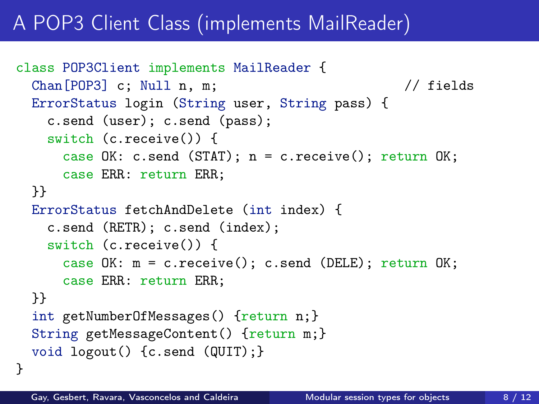# A POP3 Client Class (implements MailReader)

```
class POP3Client implements MailReader {
 Chan[POP3] c; Null n, m; // fields
 ErrorStatus login (String user, String pass) {
   c.send (user); c.send (pass);
   switch (c.receive()) {
     case OK: c.send (STAT); n = c.receive(); return OK;case ERR: return ERR;
 }}
 ErrorStatus fetchAndDelete (int index) {
   c.send (RETR); c.send (index);
   switch (c.receive()) {
     case OK: m = c.receive(); c.send (DELE); return OK;
     case ERR: return ERR;
 }}
 int getNumberOfMessages() {return n; }
 String getMessageContent() {return m; }
 void logout() {c.send (QUIT);}
}
```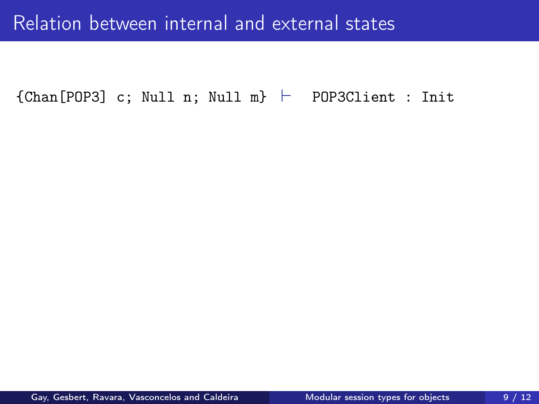#### Relation between internal and external states

 ${Chan[POP3]}$  c; Null n; Null m}  $\vdash$  POP3Client : Init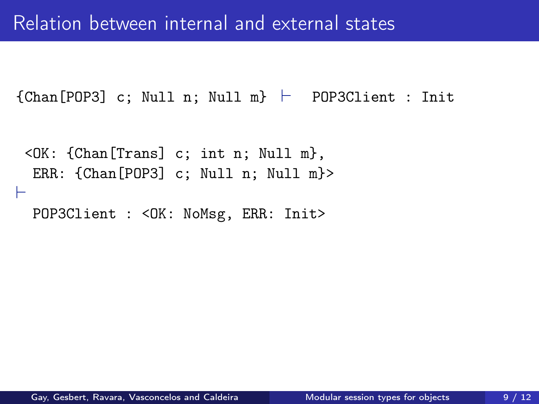${Chan[POP3]}$  c; Null n; Null m}  $\vdash$  POP3Client : Init

```
<OK: {Chan[Trans] c; int n; Null m},
 ERR: {Chan[POP3] c; Null n; Null m}>
\vdashPOP3Client : < OK: NoMsg, ERR: Init>
```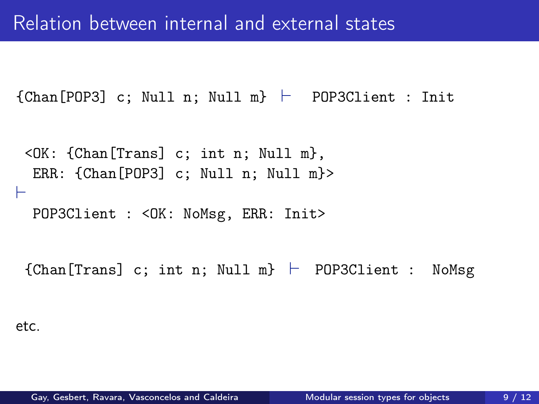${Chan[POP3]}$  c; Null n; Null m}  $\vdash$  POP3Client : Init

```
<OK: {Chan[Trans] c; int n; Null m},
 ERR: {Chan[POP3] c; Null n; Null m}>
\vdashPOP3Client : < OK: NoMsg, ERR: Init>
```
 ${Chan[Trans] c; int n; Null m} \vdash P0P3Client : NoMsg$ 

```
etc.
```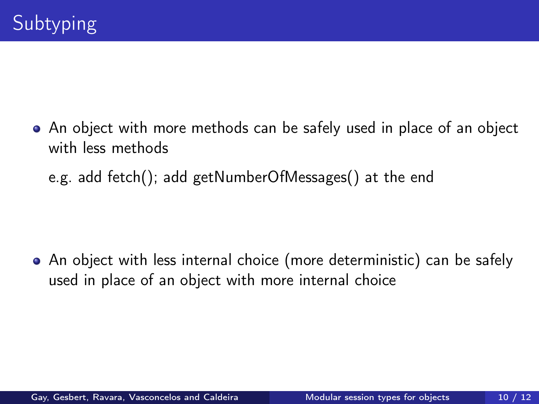An object with more methods can be safely used in place of an object with less methods

e.g. add fetch(); add getNumberOfMessages() at the end

An object with less internal choice (more deterministic) can be safely used in place of an object with more internal choice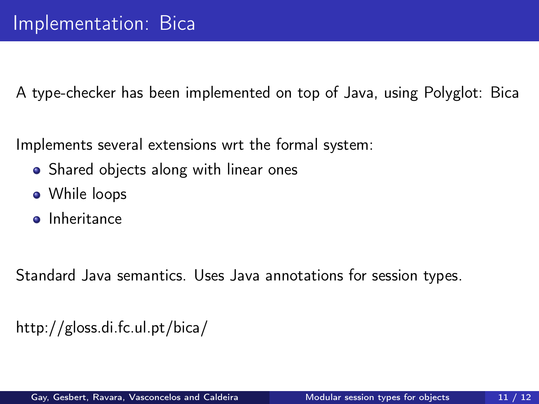A type-checker has been implemented on top of Java, using Polyglot: Bica

Implements several extensions wrt the formal system:

- Shared objects along with linear ones
- While loops
- **o** Inheritance

Standard Java semantics. Uses Java annotations for session types.

```
http://gloss.di.fc.ul.pt/bica/
```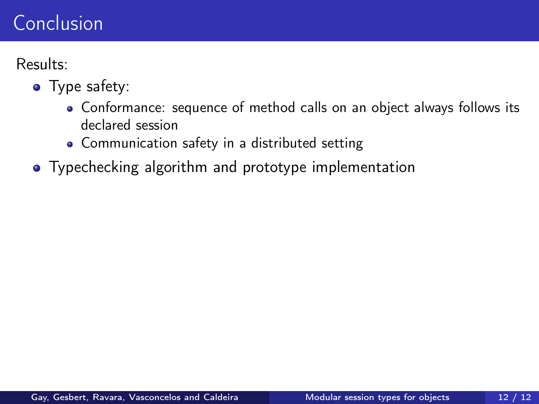Results:

- Type safety:
	- Conformance: sequence of method calls on an object always follows its declared session
	- Communication safety in a distributed setting
- Typechecking algorithm and prototype implementation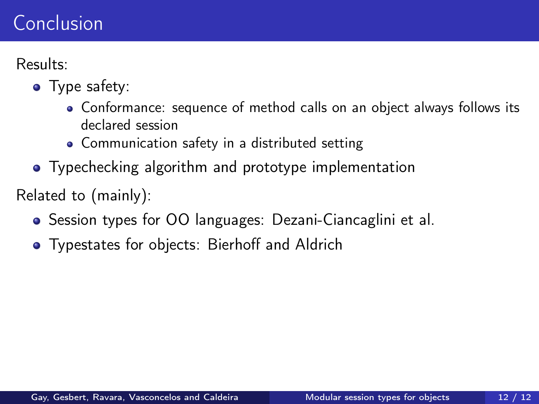Results:

- Type safety:
	- Conformance: sequence of method calls on an object always follows its declared session
	- Communication safety in a distributed setting
- Typechecking algorithm and prototype implementation

Related to (mainly):

- Session types for OO languages: Dezani-Ciancaglini et al.
- **•** Typestates for objects: Bierhoff and Aldrich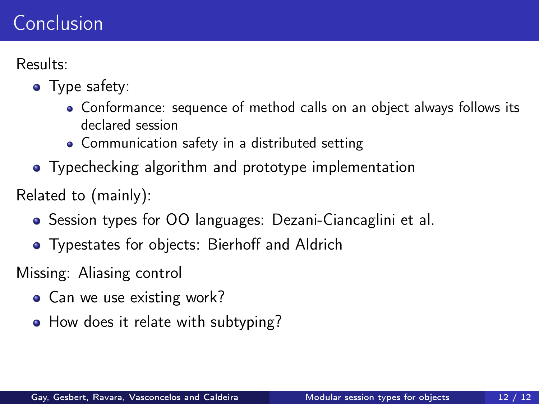Results:

- Type safety:
	- Conformance: sequence of method calls on an object always follows its declared session
	- Communication safety in a distributed setting
- Typechecking algorithm and prototype implementation

Related to (mainly):

- Session types for OO languages: Dezani-Ciancaglini et al.
- **•** Typestates for objects: Bierhoff and Aldrich

Missing: Aliasing control

- Can we use existing work?
- How does it relate with subtyping?